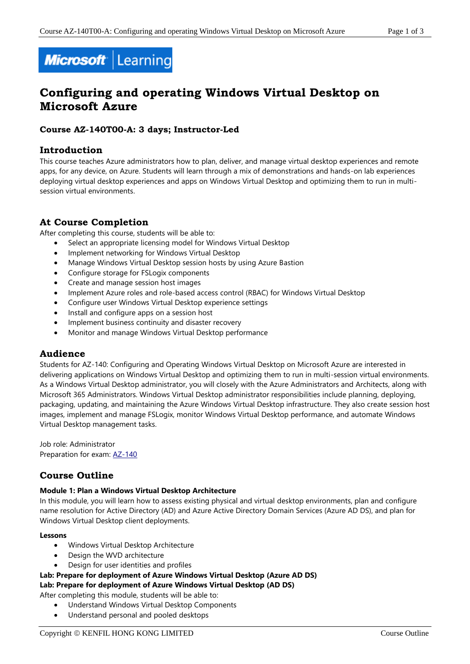

# **Configuring and operating Windows Virtual Desktop on Microsoft Azure**

### **Course AZ-140T00-A: 3 days; Instructor-Led**

# **Introduction**

This course teaches Azure administrators how to plan, deliver, and manage virtual desktop experiences and remote apps, for any device, on Azure. Students will learn through a mix of demonstrations and hands-on lab experiences deploying virtual desktop experiences and apps on Windows Virtual Desktop and optimizing them to run in multisession virtual environments.

# **At Course Completion**

After completing this course, students will be able to:

- Select an appropriate licensing model for Windows Virtual Desktop
- Implement networking for Windows Virtual Desktop
- Manage Windows Virtual Desktop session hosts by using Azure Bastion
- Configure storage for FSLogix components
- Create and manage session host images
- Implement Azure roles and role-based access control (RBAC) for Windows Virtual Desktop
- Configure user Windows Virtual Desktop experience settings
- Install and configure apps on a session host
- Implement business continuity and disaster recovery
- Monitor and manage Windows Virtual Desktop performance

# **Audience**

Students for AZ-140: Configuring and Operating Windows Virtual Desktop on Microsoft Azure are interested in delivering applications on Windows Virtual Desktop and optimizing them to run in multi-session virtual environments. As a Windows Virtual Desktop administrator, you will closely with the Azure Administrators and Architects, along with Microsoft 365 Administrators. Windows Virtual Desktop administrator responsibilities include planning, deploying, packaging, updating, and maintaining the Azure Windows Virtual Desktop infrastructure. They also create session host images, implement and manage FSLogix, monitor Windows Virtual Desktop performance, and automate Windows Virtual Desktop management tasks.

Job role: Administrator Preparation for exam: [AZ-140](https://docs.microsoft.com/en-us/learn/certifications/exams/az-140)

# **Course Outline**

#### **Module 1: Plan a Windows Virtual Desktop Architecture**

In this module, you will learn how to assess existing physical and virtual desktop environments, plan and configure name resolution for Active Directory (AD) and Azure Active Directory Domain Services (Azure AD DS), and plan for Windows Virtual Desktop client deployments.

#### **Lessons**

- Windows Virtual Desktop Architecture
- Design the WVD architecture
- Design for user identities and profiles

#### **Lab: Prepare for deployment of Azure Windows Virtual Desktop (Azure AD DS)**

#### **Lab: Prepare for deployment of Azure Windows Virtual Desktop (AD DS)**

After completing this module, students will be able to:

- Understand Windows Virtual Desktop Components
- Understand personal and pooled desktops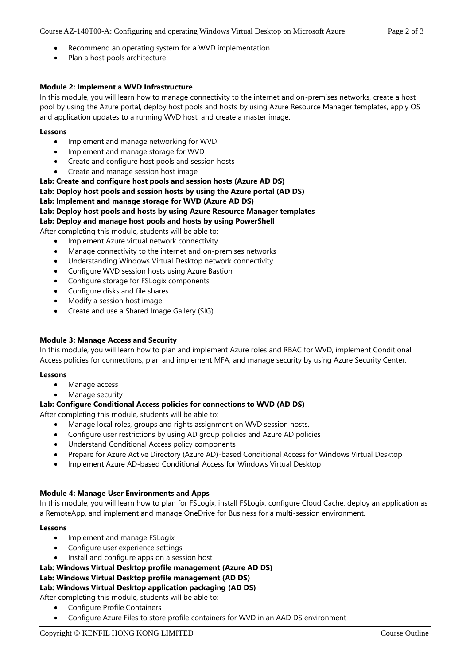- Recommend an operating system for a WVD implementation
- Plan a host pools architecture

#### **Module 2: Implement a WVD Infrastructure**

In this module, you will learn how to manage connectivity to the internet and on-premises networks, create a host pool by using the Azure portal, deploy host pools and hosts by using Azure Resource Manager templates, apply OS and application updates to a running WVD host, and create a master image.

#### **Lessons**

- Implement and manage networking for WVD
- Implement and manage storage for WVD
- Create and configure host pools and session hosts
- Create and manage session host image

**Lab: Create and configure host pools and session hosts (Azure AD DS) Lab: Deploy host pools and session hosts by using the Azure portal (AD DS) Lab: Implement and manage storage for WVD (Azure AD DS) Lab: Deploy host pools and hosts by using Azure Resource Manager templates Lab: Deploy and manage host pools and hosts by using PowerShell**

After completing this module, students will be able to:

- Implement Azure virtual network connectivity
- Manage connectivity to the internet and on-premises networks
- Understanding Windows Virtual Desktop network connectivity
- Configure WVD session hosts using Azure Bastion
- Configure storage for FSLogix components
- Configure disks and file shares
- Modify a session host image
- Create and use a Shared Image Gallery (SIG)

#### **Module 3: Manage Access and Security**

In this module, you will learn how to plan and implement Azure roles and RBAC for WVD, implement Conditional Access policies for connections, plan and implement MFA, and manage security by using Azure Security Center.

#### **Lessons**

- Manage access
- Manage security

#### **Lab: Configure Conditional Access policies for connections to WVD (AD DS)**

After completing this module, students will be able to:

- Manage local roles, groups and rights assignment on WVD session hosts.
- Configure user restrictions by using AD group policies and Azure AD policies
- Understand Conditional Access policy components
- Prepare for Azure Active Directory (Azure AD)-based Conditional Access for Windows Virtual Desktop
- Implement Azure AD-based Conditional Access for Windows Virtual Desktop

#### **Module 4: Manage User Environments and Apps**

In this module, you will learn how to plan for FSLogix, install FSLogix, configure Cloud Cache, deploy an application as a RemoteApp, and implement and manage OneDrive for Business for a multi-session environment.

#### **Lessons**

- Implement and manage FSLogix
- Configure user experience settings
- Install and configure apps on a session host

# **Lab: Windows Virtual Desktop profile management (Azure AD DS)**

# **Lab: Windows Virtual Desktop profile management (AD DS)**

#### **Lab: Windows Virtual Desktop application packaging (AD DS)**

After completing this module, students will be able to:

- Configure Profile Containers
- Configure Azure Files to store profile containers for WVD in an AAD DS environment